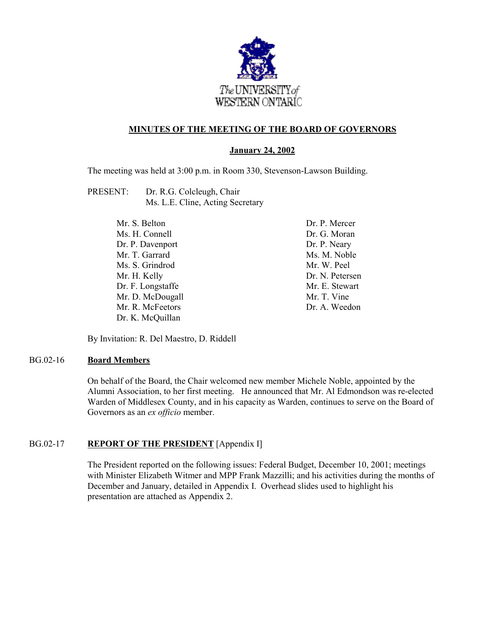

## **MINUTES OF THE MEETING OF THE BOARD OF GOVERNORS**

### **January 24, 2002**

The meeting was held at 3:00 p.m. in Room 330, Stevenson-Lawson Building.

| PRESENT: | Dr. R.G. Colcleugh, Chair        |
|----------|----------------------------------|
|          | Ms. L.E. Cline, Acting Secretary |

Mr. S. Belton Ms. H. Connell Dr. P. Davenport Mr. T. Garrard Ms. S. Grindrod Mr. H. Kelly Dr. F. Longstaffe Mr. D. McDougall Mr. R. McFeetors Dr. K. McQuillan

Dr. P. Mercer Dr. G. Moran Dr. P. Neary Ms. M. Noble Mr. W. Peel Dr. N. Petersen Mr. E. Stewart Mr. T. Vine Dr. A. Weedon

By Invitation: R. Del Maestro, D. Riddell

### BG.02-16 **Board Members**

On behalf of the Board, the Chair welcomed new member Michele Noble, appointed by the Alumni Association, to her first meeting. He announced that Mr. Al Edmondson was re-elected Warden of Middlesex County, and in his capacity as Warden, continues to serve on the Board of Governors as an *ex officio* member.

## BG.02-17 **REPORT OF THE PRESIDENT** [Appendix I]

The President reported on the following issues: Federal Budget, December 10, 2001; meetings with Minister Elizabeth Witmer and MPP Frank Mazzilli; and his activities during the months of December and January, detailed in Appendix I. Overhead slides used to highlight his presentation are attached as Appendix 2.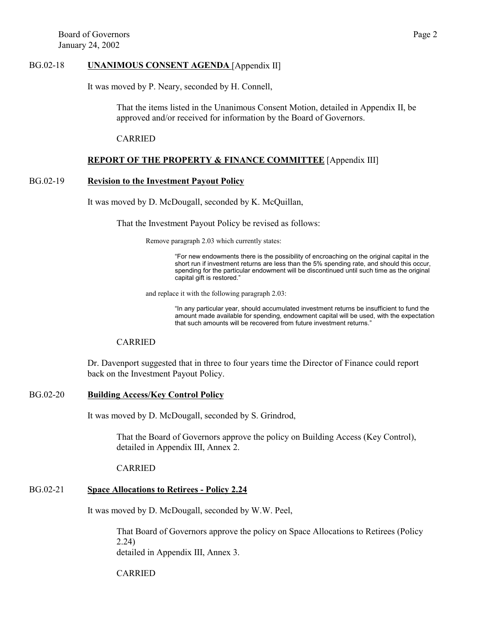#### BG.02-18 **UNANIMOUS CONSENT AGENDA** [Appendix II]

It was moved by P. Neary, seconded by H. Connell,

That the items listed in the Unanimous Consent Motion, detailed in Appendix II, be approved and/or received for information by the Board of Governors.

CARRIED

### **REPORT OF THE PROPERTY & FINANCE COMMITTEE** [Appendix III]

#### BG.02-19 **Revision to the Investment Payout Policy**

It was moved by D. McDougall, seconded by K. McQuillan,

That the Investment Payout Policy be revised as follows:

Remove paragraph 2.03 which currently states:

"For new endowments there is the possibility of encroaching on the original capital in the short run if investment returns are less than the 5% spending rate, and should this occur, spending for the particular endowment will be discontinued until such time as the original capital gift is restored."

and replace it with the following paragraph 2.03:

"In any particular year, should accumulated investment returns be insufficient to fund the amount made available for spending, endowment capital will be used, with the expectation that such amounts will be recovered from future investment returns."

### CARRIED

Dr. Davenport suggested that in three to four years time the Director of Finance could report back on the Investment Payout Policy.

#### BG.02-20 **Building Access/Key Control Policy**

It was moved by D. McDougall, seconded by S. Grindrod,

That the Board of Governors approve the policy on Building Access (Key Control), detailed in Appendix III, Annex 2.

CARRIED

## BG.02-21 **Space Allocations to Retirees - Policy 2.24**

It was moved by D. McDougall, seconded by W.W. Peel,

That Board of Governors approve the policy on Space Allocations to Retirees (Policy 2.24) detailed in Appendix III, Annex 3.

CARRIED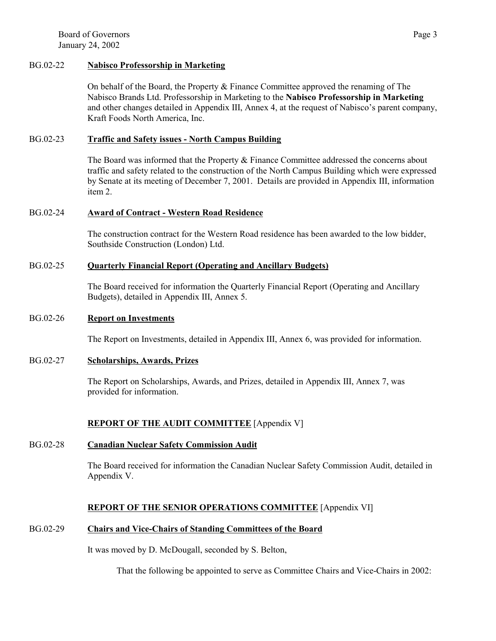Board of Governors Page 3 January 24, 2002

## BG.02-22 **Nabisco Professorship in Marketing**

On behalf of the Board, the Property & Finance Committee approved the renaming of The Nabisco Brands Ltd. Professorship in Marketing to the **Nabisco Professorship in Marketing** and other changes detailed in Appendix III, Annex 4, at the request of Nabisco's parent company, Kraft Foods North America, Inc.

### BG.02-23 **Traffic and Safety issues - North Campus Building**

The Board was informed that the Property & Finance Committee addressed the concerns about traffic and safety related to the construction of the North Campus Building which were expressed by Senate at its meeting of December 7, 2001. Details are provided in Appendix III, information item 2.

## BG.02-24 **Award of Contract - Western Road Residence**

The construction contract for the Western Road residence has been awarded to the low bidder, Southside Construction (London) Ltd.

### BG.02-25 **Quarterly Financial Report (Operating and Ancillary Budgets)**

The Board received for information the Quarterly Financial Report (Operating and Ancillary Budgets), detailed in Appendix III, Annex 5.

#### BG.02-26 **Report on Investments**

The Report on Investments, detailed in Appendix III, Annex 6, was provided for information.

## BG.02-27 **Scholarships, Awards, Prizes**

The Report on Scholarships, Awards, and Prizes, detailed in Appendix III, Annex 7, was provided for information.

## **REPORT OF THE AUDIT COMMITTEE** [Appendix V]

#### BG.02-28 **Canadian Nuclear Safety Commission Audit**

The Board received for information the Canadian Nuclear Safety Commission Audit, detailed in Appendix V.

## **REPORT OF THE SENIOR OPERATIONS COMMITTEE** [Appendix VI]

# BG.02-29 **Chairs and Vice-Chairs of Standing Committees of the Board**

It was moved by D. McDougall, seconded by S. Belton,

That the following be appointed to serve as Committee Chairs and Vice-Chairs in 2002: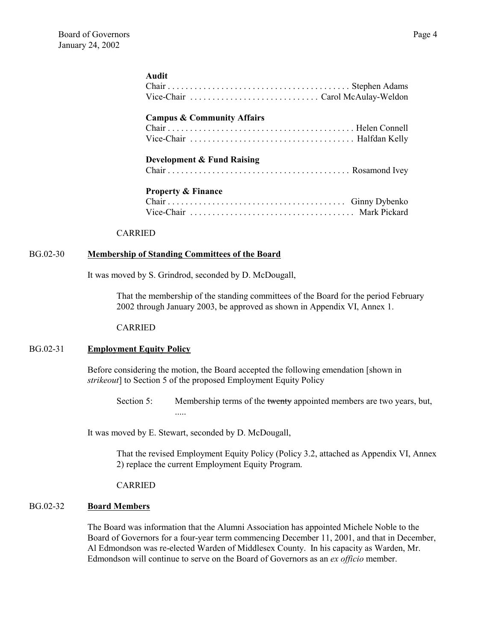### **Audit**

| <b>Campus &amp; Community Affairs</b> |  |
|---------------------------------------|--|
| <b>Development &amp; Fund Raising</b> |  |
| <b>Property &amp; Finance</b>         |  |

#### CARRIED

#### BG.02-30 **Membership of Standing Committees of the Board**

It was moved by S. Grindrod, seconded by D. McDougall,

That the membership of the standing committees of the Board for the period February 2002 through January 2003, be approved as shown in Appendix VI, Annex 1.

#### CARRIED

## BG.02-31 **Employment Equity Policy**

Before considering the motion, the Board accepted the following emendation [shown in *strikeout*] to Section 5 of the proposed Employment Equity Policy

Section 5: Membership terms of the twenty appointed members are two years, but, .....

It was moved by E. Stewart, seconded by D. McDougall,

That the revised Employment Equity Policy (Policy 3.2, attached as Appendix VI, Annex 2) replace the current Employment Equity Program.

CARRIED

### BG.02-32 **Board Members**

The Board was information that the Alumni Association has appointed Michele Noble to the Board of Governors for a four-year term commencing December 11, 2001, and that in December, Al Edmondson was re-elected Warden of Middlesex County. In his capacity as Warden, Mr. Edmondson will continue to serve on the Board of Governors as an *ex officio* member.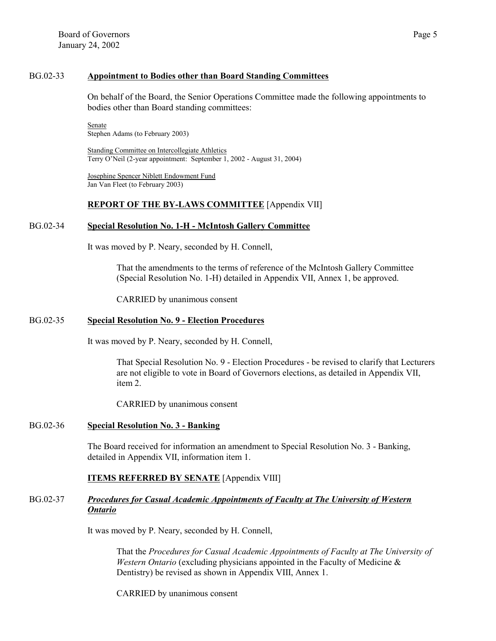### BG.02-33 **Appointment to Bodies other than Board Standing Committees**

On behalf of the Board, the Senior Operations Committee made the following appointments to bodies other than Board standing committees:

Senate Stephen Adams (to February 2003)

Standing Committee on Intercollegiate Athletics Terry O'Neil (2-year appointment: September 1, 2002 - August 31, 2004)

Josephine Spencer Niblett Endowment Fund Jan Van Fleet (to February 2003)

## **REPORT OF THE BY-LAWS COMMITTEE** [Appendix VII]

### BG.02-34 **Special Resolution No. 1-H - McIntosh Gallery Committee**

It was moved by P. Neary, seconded by H. Connell,

That the amendments to the terms of reference of the McIntosh Gallery Committee (Special Resolution No. 1-H) detailed in Appendix VII, Annex 1, be approved.

CARRIED by unanimous consent

## BG.02-35 **Special Resolution No. 9 - Election Procedures**

It was moved by P. Neary, seconded by H. Connell,

That Special Resolution No. 9 - Election Procedures - be revised to clarify that Lecturers are not eligible to vote in Board of Governors elections, as detailed in Appendix VII, item 2.

CARRIED by unanimous consent

## BG.02-36 **Special Resolution No. 3 - Banking**

The Board received for information an amendment to Special Resolution No. 3 - Banking, detailed in Appendix VII, information item 1.

## **ITEMS REFERRED BY SENATE** [Appendix VIII]

## BG.02-37 *Procedures for Casual Academic Appointments of Faculty at The University of Western Ontario*

It was moved by P. Neary, seconded by H. Connell,

That the *Procedures for Casual Academic Appointments of Faculty at The University of Western Ontario* (excluding physicians appointed in the Faculty of Medicine & Dentistry) be revised as shown in Appendix VIII, Annex 1.

CARRIED by unanimous consent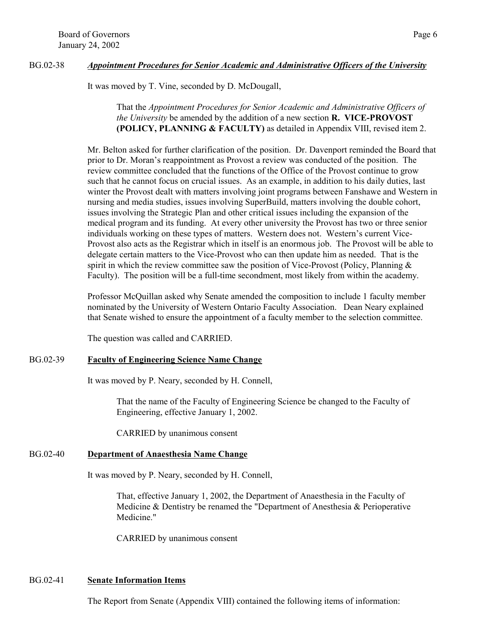## BG.02-38 *Appointment Procedures for Senior Academic and Administrative Officers of the University*

It was moved by T. Vine, seconded by D. McDougall,

## That the *Appointment Procedures for Senior Academic and Administrative Officers of the University* be amended by the addition of a new section **R. VICE-PROVOST (POLICY, PLANNING & FACULTY)** as detailed in Appendix VIII, revised item 2.

Mr. Belton asked for further clarification of the position. Dr. Davenport reminded the Board that prior to Dr. Moran's reappointment as Provost a review was conducted of the position. The review committee concluded that the functions of the Office of the Provost continue to grow such that he cannot focus on crucial issues. As an example, in addition to his daily duties, last winter the Provost dealt with matters involving joint programs between Fanshawe and Western in nursing and media studies, issues involving SuperBuild, matters involving the double cohort, issues involving the Strategic Plan and other critical issues including the expansion of the medical program and its funding. At every other university the Provost has two or three senior individuals working on these types of matters. Western does not. Western's current Vice-Provost also acts as the Registrar which in itself is an enormous job. The Provost will be able to delegate certain matters to the Vice-Provost who can then update him as needed. That is the spirit in which the review committee saw the position of Vice-Provost (Policy, Planning  $\&$ Faculty). The position will be a full-time secondment, most likely from within the academy.

Professor McQuillan asked why Senate amended the composition to include 1 faculty member nominated by the University of Western Ontario Faculty Association. Dean Neary explained that Senate wished to ensure the appointment of a faculty member to the selection committee.

The question was called and CARRIED.

## BG.02-39 **Faculty of Engineering Science Name Change**

It was moved by P. Neary, seconded by H. Connell,

That the name of the Faculty of Engineering Science be changed to the Faculty of Engineering, effective January 1, 2002.

CARRIED by unanimous consent

## BG.02-40 **Department of Anaesthesia Name Change**

It was moved by P. Neary, seconded by H. Connell,

That, effective January 1, 2002, the Department of Anaesthesia in the Faculty of Medicine & Dentistry be renamed the "Department of Anesthesia & Perioperative Medicine."

CARRIED by unanimous consent

## BG.02-41 **Senate Information Items**

The Report from Senate (Appendix VIII) contained the following items of information: